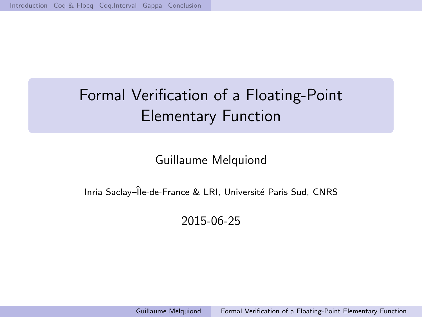# <span id="page-0-0"></span>Formal Verification of a Floating-Point Elementary Function

Guillaume Melquiond

Inria Saclay–Île-de-France & LRI, Université Paris Sud, CNRS

2015-06-25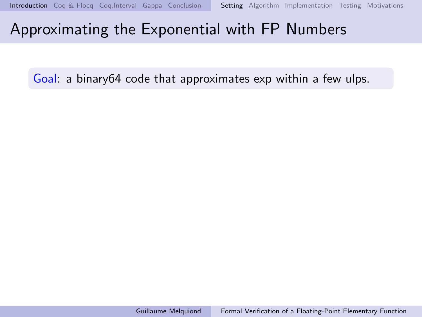<span id="page-1-0"></span>Goal: a binary64 code that approximates exp within a few ulps.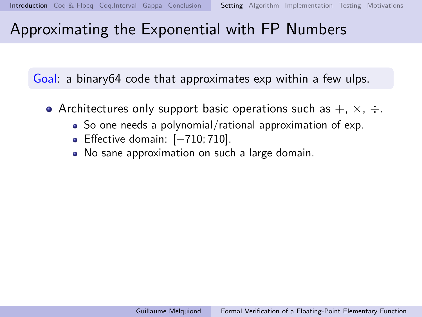Goal: a binary64 code that approximates exp within a few ulps.

- Architectures only support basic operations such as  $+$ ,  $\times$ ,  $\div$ .
	- So one needs a polynomial/rational approximation of exp.
	- Effective domain: [−710; 710].
	- No sane approximation on such a large domain.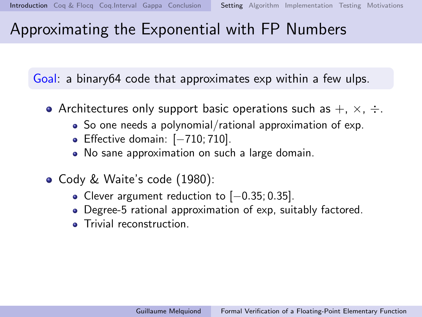Goal: a binary64 code that approximates exp within a few ulps.

- Architectures only support basic operations such as  $+$ ,  $\times$ ,  $\div$ .
	- So one needs a polynomial/rational approximation of exp.
	- Effective domain: [-710; 710].
	- No sane approximation on such a large domain.
- Cody & Waite's code (1980):
	- Clever argument reduction to [−0.35; 0.35].
	- Degree-5 rational approximation of exp, suitably factored.
	- **Trivial reconstruction**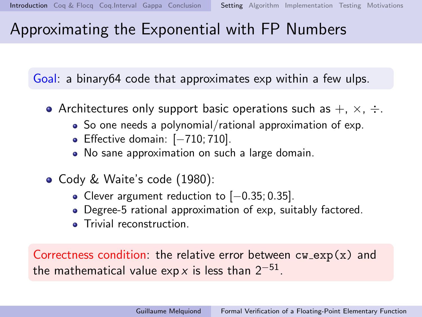<span id="page-4-0"></span>Goal: a binary64 code that approximates exp within a few ulps.

- Architectures only support basic operations such as  $+$ ,  $\times$ ,  $\div$ .
	- So one needs a polynomial/rational approximation of exp.
	- Effective domain: [-710; 710].
	- No sane approximation on such a large domain.
- Cody & Waite's code (1980):
	- Clever argument reduction to [−0.35; 0.35].
	- Degree-5 rational approximation of exp, suitably factored.
	- **Trivial reconstruction**

Correctness condition: the relative error between  $cw_0(x)$  and the mathematical value exp x is less than  $2^{-51}.$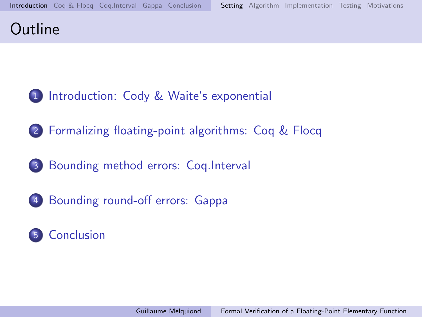## **Outline**

- [Introduction: Cody & Waite's exponential](#page-1-0)
- [Formalizing floating-point algorithms: Coq & Flocq](#page-22-0)
- [Bounding method errors: Coq.Interval](#page-29-0)
- [Bounding round-off errors: Gappa](#page-35-0)

## [Conclusion](#page-52-0)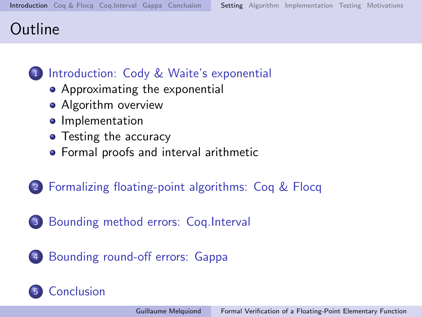## **Outline**

## 1 [Introduction: Cody & Waite's exponential](#page-1-0)

- [Approximating the exponential](#page-1-0)
- [Algorithm overview](#page-7-0)
- **•** [Implementation](#page-14-0)
- [Testing the accuracy](#page-15-0)
- **•** [Formal proofs and interval arithmetic](#page-16-0)
- 2 [Formalizing floating-point algorithms: Coq & Flocq](#page-22-0)
- 3 [Bounding method errors: Coq.Interval](#page-29-0)
- 4 [Bounding round-off errors: Gappa](#page-35-0)

# **[Conclusion](#page-52-0)**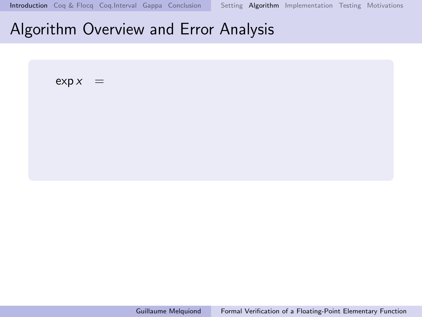<span id="page-7-0"></span> $\exp x =$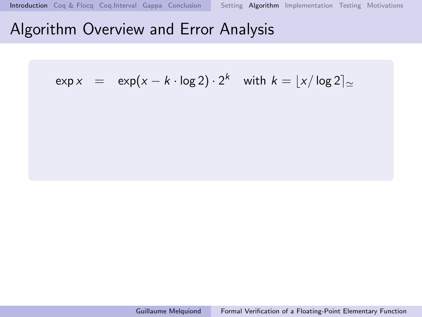$$
\exp x = \exp(x - k \cdot \log 2) \cdot 2^k \quad \text{with } k = \lfloor x / \log 2 \rfloor \approx
$$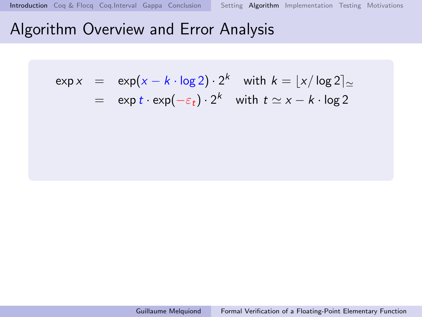$$
\exp x = \exp(x - k \cdot \log 2) \cdot 2^{k} \quad \text{with } k = \lfloor x / \log 2 \rfloor_{\simeq}
$$
  
= 
$$
\exp t \cdot \exp(-\varepsilon_{t}) \cdot 2^{k} \quad \text{with } t \simeq x - k \cdot \log 2
$$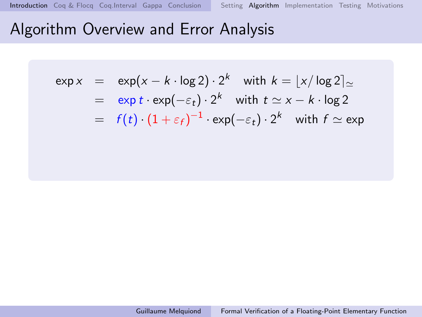$$
\exp x = \exp(x - k \cdot \log 2) \cdot 2^{k} \quad \text{with } k = \lfloor x / \log 2 \rfloor_{\simeq}
$$
\n
$$
= \exp t \cdot \exp(-\varepsilon_{t}) \cdot 2^{k} \quad \text{with } t \simeq x - k \cdot \log 2
$$
\n
$$
= f(t) \cdot (1 + \varepsilon_{f})^{-1} \cdot \exp(-\varepsilon_{t}) \cdot 2^{k} \quad \text{with } f \simeq \exp
$$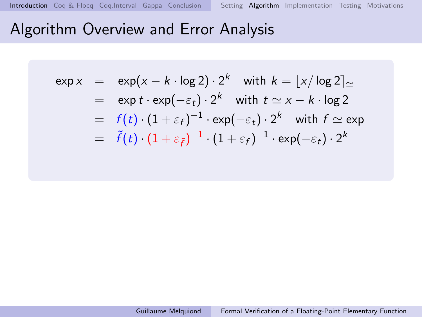$$
\exp x = \exp(x - k \cdot \log 2) \cdot 2^{k} \quad \text{with } k = \lfloor x/\log 2 \rfloor_{\simeq}
$$
\n
$$
= \exp t \cdot \exp(-\varepsilon_{t}) \cdot 2^{k} \quad \text{with } t \simeq x - k \cdot \log 2
$$
\n
$$
= f(t) \cdot (1 + \varepsilon_{f})^{-1} \cdot \exp(-\varepsilon_{t}) \cdot 2^{k} \quad \text{with } f \simeq \exp
$$
\n
$$
= \tilde{f}(t) \cdot (1 + \varepsilon_{\tilde{f}})^{-1} \cdot (1 + \varepsilon_{f})^{-1} \cdot \exp(-\varepsilon_{t}) \cdot 2^{k}
$$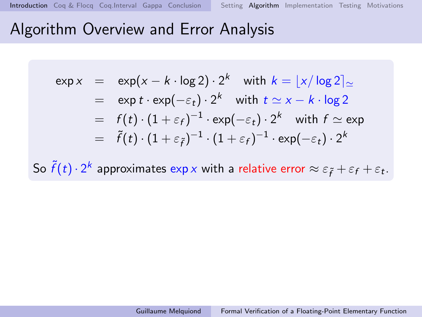$$
\exp x = \exp(x - k \cdot \log 2) \cdot 2^{k} \quad \text{with } k = \lfloor x / \log 2 \rfloor_{\simeq}
$$
\n
$$
= \exp t \cdot \exp(-\varepsilon_{t}) \cdot 2^{k} \quad \text{with } t \simeq x - k \cdot \log 2
$$
\n
$$
= f(t) \cdot (1 + \varepsilon_{f})^{-1} \cdot \exp(-\varepsilon_{t}) \cdot 2^{k} \quad \text{with } f \simeq \exp
$$
\n
$$
= \tilde{f}(t) \cdot (1 + \varepsilon_{\tilde{f}})^{-1} \cdot (1 + \varepsilon_{f})^{-1} \cdot \exp(-\varepsilon_{t}) \cdot 2^{k}
$$

So  $\tilde{f}(t)\cdot 2^k$  approximates  $\exp x$  with a relative error  $\approx \varepsilon_{\tilde{f}}+\varepsilon_f+\varepsilon_t.$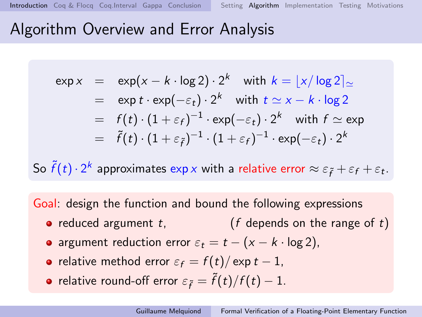<span id="page-13-0"></span>
$$
\exp x = \exp(x - k \cdot \log 2) \cdot 2^{k} \quad \text{with } k = \lfloor x / \log 2 \rfloor_{\simeq}
$$
\n
$$
= \exp t \cdot \exp(-\varepsilon_{t}) \cdot 2^{k} \quad \text{with } t \simeq x - k \cdot \log 2
$$
\n
$$
= f(t) \cdot (1 + \varepsilon_{f})^{-1} \cdot \exp(-\varepsilon_{t}) \cdot 2^{k} \quad \text{with } f \simeq \exp
$$
\n
$$
= \tilde{f}(t) \cdot (1 + \varepsilon_{\tilde{f}})^{-1} \cdot (1 + \varepsilon_{f})^{-1} \cdot \exp(-\varepsilon_{t}) \cdot 2^{k}
$$

So  $\tilde{f}(t)\cdot 2^k$  approximates  $\exp x$  with a relative error  $\approx \varepsilon_{\tilde{f}}+\varepsilon_f+\varepsilon_t.$ 

Goal: design the function and bound the following expressions

- reduced argument  $t$ ,  $\qquad$  (f depends on the range of t)
- argument reduction error  $\varepsilon_t = t (x k \cdot \log 2)$ ,
- relative method error  $\varepsilon_f = f(t)/\exp t 1$ ,
- relative round-off error  $\varepsilon_{\tilde{f}} = \tilde{f}(t)/f(t) 1$ .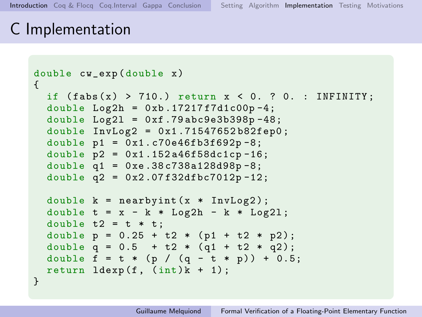## <span id="page-14-0"></span>C Implementation

```
double cw_exp ( double x )
{
  if (fabs(x) > 710.) return x < 0. ? 0. : INFINITY;
  double Log2h = 0xb.17217f7d1c00p-4;
  double Log21 = 0xf.79abc9e3b398p-48;double InvLog2 = 0x1.71547652b82fep0;
  double p1 = 0x1.c70e46fb3f692p - 8;
  double p2 = 0x1.152a46f58dc1cp-16;
  double q1 = 0 xe .38 c738a128d98p -8;
  double q2 = 0x2.07f32dfbc7012p - 12;
  double k = nearbyint (x * InvLog 2);
  double t = x - k * Log2h - k * Log21;
  double t2 = t * t;
  double p = 0.25 + t2 * (p1 + t2 * p2);
  double q = 0.5 + t2 * (q1 + t2 * q2);
  double f = t * (p / (q - t * p)) + 0.5;return ldevp(f, (int)k + 1);}
```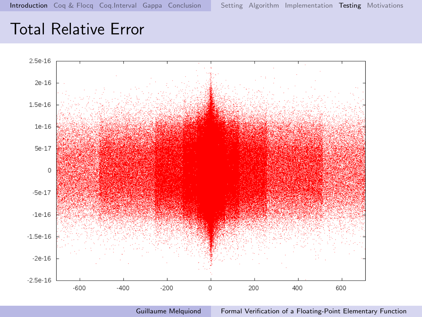## <span id="page-15-0"></span>Total Relative Error



Guillaume Melquiond [Formal Verification of a Floating-Point Elementary Function](#page-0-0)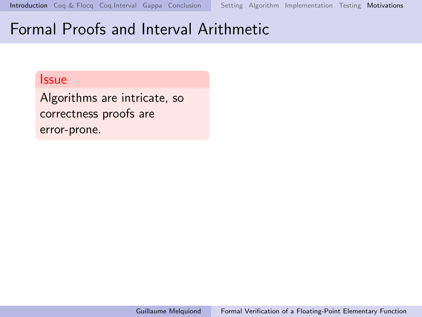#### <span id="page-16-0"></span>Issue

Algorithms are intricate, so correctness proofs are error-prone.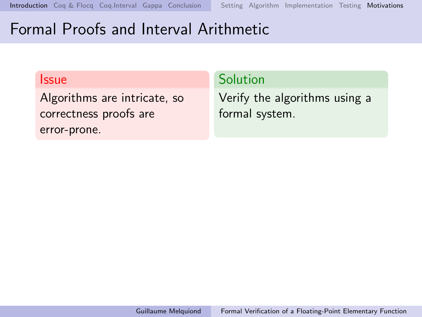#### Issue

Algorithms are intricate, so correctness proofs are error-prone.

### Solution

Verify the algorithms using a formal system.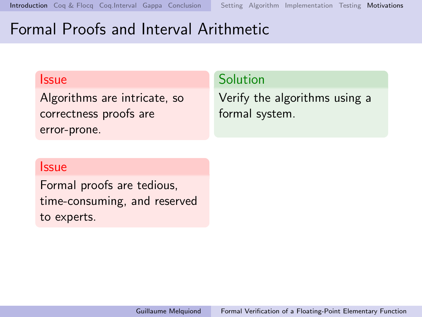#### Issue

Algorithms are intricate, so correctness proofs are error-prone.

### Solution

Verify the algorithms using a formal system.

#### Issue

Formal proofs are tedious, time-consuming, and reserved to experts.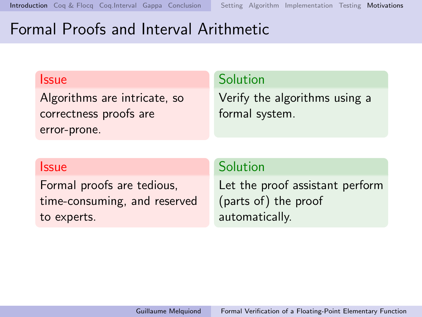#### Issue

Algorithms are intricate, so correctness proofs are error-prone.

#### Solution

Verify the algorithms using a formal system.

#### Issue

Formal proofs are tedious, time-consuming, and reserved to experts.

### Solution

Let the proof assistant perform (parts of) the proof automatically.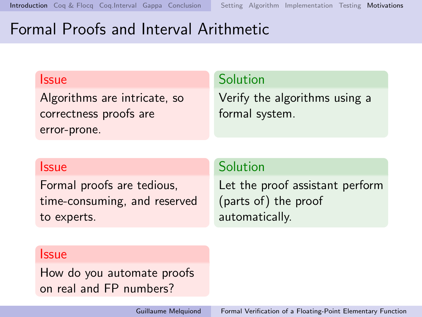#### Issue

Algorithms are intricate, so correctness proofs are error-prone.

#### Solution

Verify the algorithms using a formal system.

#### Issue

Formal proofs are tedious, time-consuming, and reserved to experts.

### Solution

Let the proof assistant perform (parts of) the proof automatically.

#### Issue

How do you automate proofs on real and FP numbers?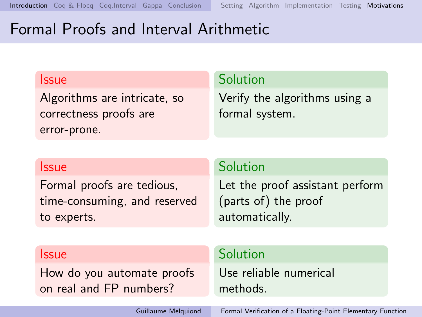#### <span id="page-21-0"></span>Issue

Algorithms are intricate, so correctness proofs are error-prone.

#### Solution

Verify the algorithms using a formal system.

#### Issue

Formal proofs are tedious, time-consuming, and reserved to experts.

#### Solution

Let the proof assistant perform (parts of) the proof automatically.

#### Issue

How do you automate proofs on real and FP numbers?

### Solution

Use reliable numerical methods.

Guillaume Melquiond [Formal Verification of a Floating-Point Elementary Function](#page-0-0)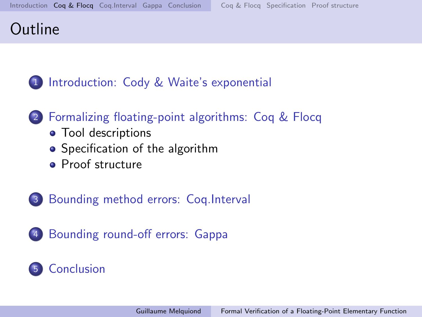## <span id="page-22-0"></span>**Outline**

## 1 [Introduction: Cody & Waite's exponential](#page-1-0)

### 2 [Formalizing floating-point algorithms: Coq & Flocq](#page-22-0)

- [Tool descriptions](#page-23-0)
- [Specification of the algorithm](#page-27-0)
- **•** [Proof structure](#page-28-0)
- 3 [Bounding method errors: Coq.Interval](#page-29-0)
- 4 [Bounding round-off errors: Gappa](#page-35-0)

### Gonclusion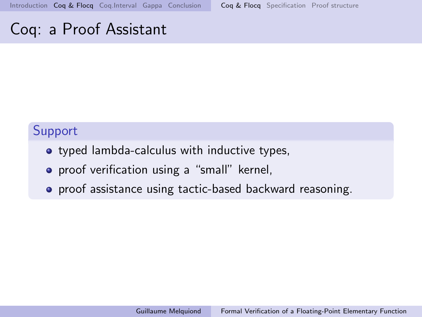## <span id="page-23-0"></span>Coq: a Proof Assistant

### Support

- typed lambda-calculus with inductive types,
- **•** proof verification using a "small" kernel,
- **•** proof assistance using tactic-based backward reasoning.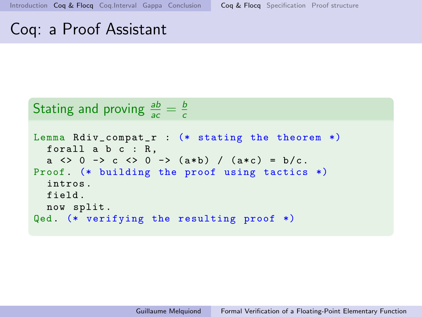## Coq: a Proof Assistant

#### Stating and proving  $\frac{ab}{ac} = \frac{b}{c}$ c

```
Lemma Rdiv_compat_r : (* stating the theorem *)
  forall a b c : R,
  a \langle > 0 -> c \langle > 0 -> (a*b) / (a*c) = b/c.
Proof (* building the proof using tactics *)
  intros .
  field .
 now split .
Qed. (* verifying the resulting proof *)
```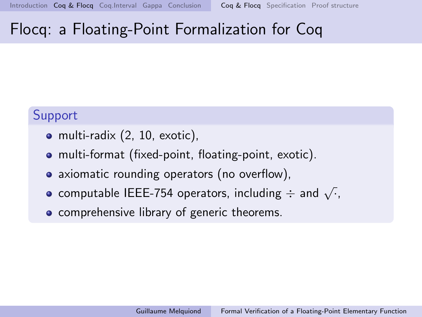## Flocq: a Floating-Point Formalization for Coq

### Support

- multi-radix (2, 10, exotic),
- multi-format (fixed-point, floating-point, exotic).
- axiomatic rounding operators (no overflow),
- $\overline{\phantom{a}}$  computable IEEE-754 operators, including  $\div$  and  $\sqrt{\cdot}$ ,
- comprehensive library of generic theorems.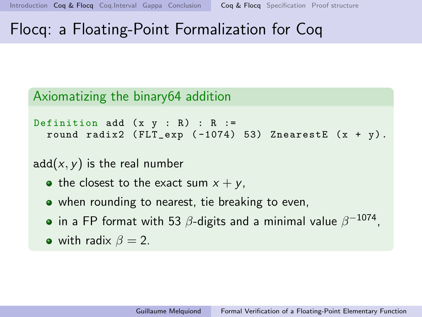## Flocq: a Floating-Point Formalization for Coq

### Axiomatizing the binary64 addition

```
Definition add (x \, y : R) : R :=round radix2 (FLT<sub>exp</sub> (-1074) 53) ZnearestE (x + y).
```
 $add(x, y)$  is the real number

- the closest to the exact sum  $x + y$ ,
- when rounding to nearest, tie breaking to even,
- in a FP format with 53  $\beta$ -digits and a minimal value  $\beta^{-1074}.$
- with radix  $\beta = 2$ .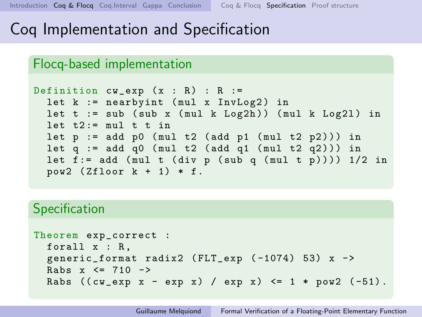## <span id="page-27-0"></span>Coq Implementation and Specification

### Flocq-based implementation

```
Definition cw\_\exp(x : R) : R :=let k := nearbyint (mul x InvLog2) in
  let t := sub (sub x (mul k Log2h)) (mul k Log2l) in
  let t2 := mu1 t t in
  let p := add p0 (mul t2 (add p1 (mul t2 p2))) in
  let q := add q0 (mul t2 (add q1 (mul t2 q2))) in
  let f := add (mul t (div p (sub q (mul t p))) ) 1/2 inpow2 (Zfloor k + 1) * f.
```
### **Specification**

```
Theorem exp_correct :
  forall x : R ,
  generic_format radix2 (FLT_exp (-1074) 53) x ->
  Rabs x \leq 710 ->
  Rabs ((cw\_exp x - exp x) / exp x) \le 1 * pow2 (-51).
```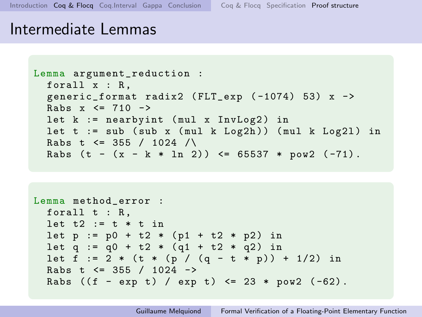<span id="page-28-0"></span>[Introduction](#page-1-0) [Coq & Flocq](#page-22-0) [Coq.Interval](#page-29-0) [Gappa](#page-35-0) [Conclusion](#page-52-0) [Coq & Flocq](#page-23-0) [Specification](#page-27-0) [Proof structure](#page-28-0)

### Intermediate Lemmas

```
Lemma argument_reduction :
  forall x : R ,
  generic_format radix2 ( FLT_exp ( -1074) 53) x ->
  Rabs x \le 710 ->
  let k := nearbyint (mul x InvLog2) in
  let t := sub (sub x (mul k Log2h)) (mul k Log2l) in
  Rabs t \le 355 / 1024 /\
  Rabs (t - (x - k * ln 2)) \leq 65537 * pow2 (-71).
```

```
Lemma method_error :
 forall t : R,
  let t2 := t * t in
  let p := p0 + t2 * (p1 + t2 * p2) in
  let q := q0 + t2 * (q1 + t2 * q2) in
  let f := 2 * (t * (p / (q - t * p)) + 1/2) in
  Rabs t \leq 355 / 1024 ->
  Rabs ((f - exp t) / exp t) \le 23 * pow2 (-62).
```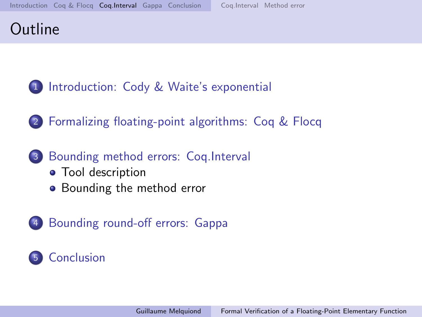## <span id="page-29-0"></span>**Outline**

- 1 [Introduction: Cody & Waite's exponential](#page-1-0)
- 2 [Formalizing floating-point algorithms: Coq & Flocq](#page-22-0)
- 3 [Bounding method errors: Coq.Interval](#page-29-0)
	- [Tool description](#page-31-0)
	- [Bounding the method error](#page-33-0)
- 4 [Bounding round-off errors: Gappa](#page-35-0)

## 5 [Conclusion](#page-52-0)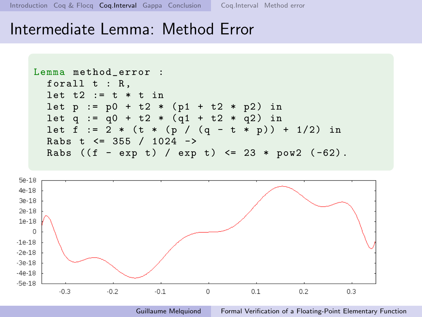[Introduction](#page-1-0) [Coq & Flocq](#page-22-0) [Coq.Interval](#page-29-0) [Gappa](#page-35-0) [Conclusion](#page-52-0) [Coq.Interval](#page-31-0) [Method error](#page-33-0)

 $-5e-18$ 

 $-0.3$ 

 $-0.2$ 

### Intermediate Lemma: Method Error



 $\Omega$ 

 $0.1$ 

 $-0.1$ 

Guillaume Melquiond [Formal Verification of a Floating-Point Elementary Function](#page-0-0)

 $0.3$ 

 $0.2$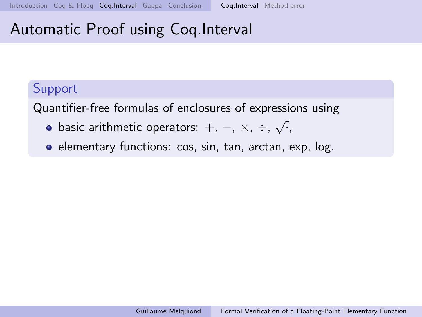# <span id="page-31-0"></span>Automatic Proof using Coq.Interval

### Support

Quantifier-free formulas of enclosures of expressions using

- basic arithmetic operators:  $+$ ,  $-$ ,  $\times$ ,  $\div$ ,  $\sqrt{\cdot}$ ,
- **e** elementary functions: cos, sin, tan, arctan, exp, log.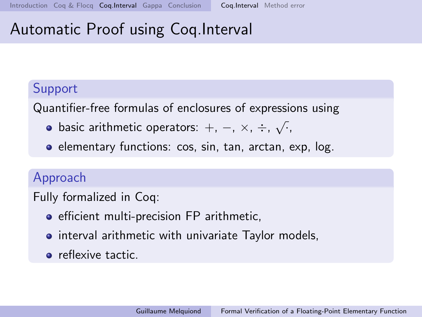# <span id="page-32-0"></span>Automatic Proof using Coq.Interval

### Support

Quantifier-free formulas of enclosures of expressions using

- basic arithmetic operators:  $+$ ,  $-$ ,  $\times$ ,  $\div$ ,  $\sqrt{\cdot}$ ,
- **e** elementary functions: cos, sin, tan, arctan, exp, log.

### Approach

Fully formalized in Coq:

- **•** efficient multi-precision FP arithmetic,
- **•** interval arithmetic with univariate Taylor models,
- **o** reflexive tactic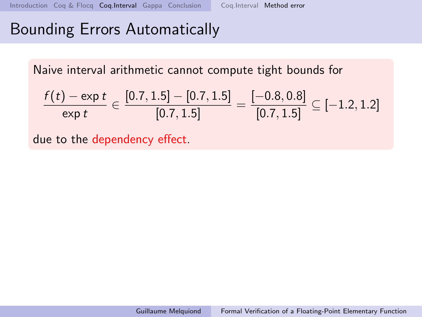# <span id="page-33-0"></span>Bounding Errors Automatically

Naive interval arithmetic cannot compute tight bounds for

$$
\frac{f(t) - \exp t}{\exp t} \in \frac{[0.7, 1.5] - [0.7, 1.5]}{[0.7, 1.5]} = \frac{[-0.8, 0.8]}{[0.7, 1.5]} \subseteq [-1.2, 1.2]
$$

due to the dependency effect.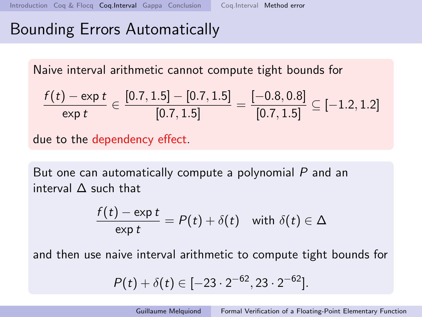## <span id="page-34-0"></span>Bounding Errors Automatically

Naive interval arithmetic cannot compute tight bounds for

$$
\frac{f(t) - \exp t}{\exp t} \in \frac{[0.7, 1.5] - [0.7, 1.5]}{[0.7, 1.5]} = \frac{[-0.8, 0.8]}{[0.7, 1.5]} \subseteq [-1.2, 1.2]
$$

due to the dependency effect.

But one can automatically compute a polynomial P and an interval ∆ such that

$$
\frac{f(t) - \exp t}{\exp t} = P(t) + \delta(t) \quad \text{with } \delta(t) \in \Delta
$$

and then use naive interval arithmetic to compute tight bounds for

$$
P(t) + \delta(t) \in [-23 \cdot 2^{-62}, 23 \cdot 2^{-62}].
$$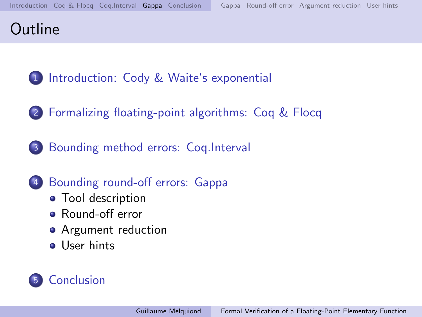## <span id="page-35-0"></span>**Outline**

- 1 [Introduction: Cody & Waite's exponential](#page-1-0)
- 2 [Formalizing floating-point algorithms: Coq & Flocq](#page-22-0)
- 3 [Bounding method errors: Coq.Interval](#page-29-0)
	- [Bounding round-off errors: Gappa](#page-35-0)
		- [Tool description](#page-37-0)
		- [Round-off error](#page-43-0)
		- [Argument reduction](#page-44-0)
		- **•** [User hints](#page-46-0)

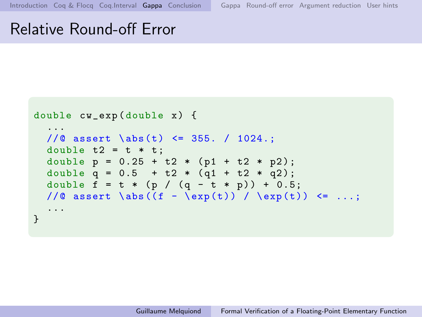## Relative Round-off Error

```
double cw_exp ( double x ) {
  ...
  //@ assert \abs(t) <= 355. / 1024.;
  double t2 = t * t;
  double p = 0.25 + t2 * (p1 + t2 * p2);double q = 0.5 + t2 * (q1 + t2 * q2);double f = t * (p / (q - t * p)) + 0.5;//@ assert \abs((f - \exp(t)) / \exp(t)) <= ...;
  ...
}
```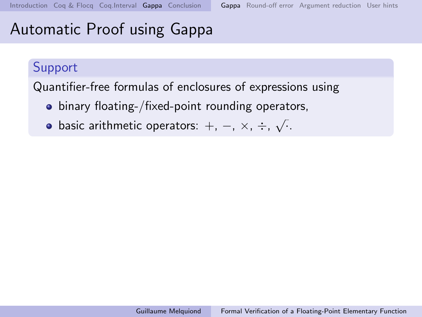## <span id="page-37-0"></span>Automatic Proof using Gappa

### Support

Quantifier-free formulas of enclosures of expressions using

- binary floating-/fixed-point rounding operators,
- basic arithmetic operators:  $+$ ,  $-$ ,  $\times$ ,  $\div$ ,  $\sqrt{\cdot}$ .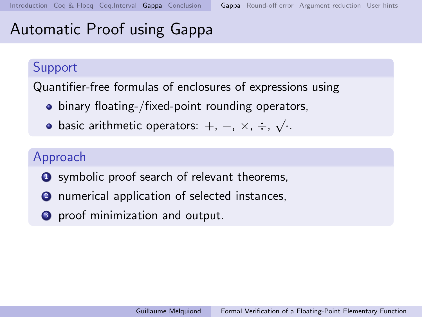# Automatic Proof using Gappa

### Support

Quantifier-free formulas of enclosures of expressions using

- **•** binary floating-/fixed-point rounding operators,
- basic arithmetic operators:  $+$ ,  $-$ ,  $\times$ ,  $\div$ ,  $\sqrt{\cdot}$ .

### Approach

- **1** symbolic proof search of relevant theorems,
- <sup>2</sup> numerical application of selected instances,
- **3** proof minimization and output.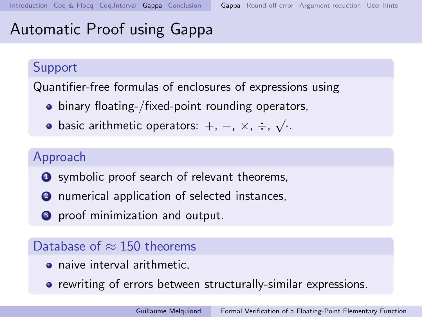# <span id="page-39-0"></span>Automatic Proof using Gappa

### Support

Quantifier-free formulas of enclosures of expressions using

- **•** binary floating-/fixed-point rounding operators,
- basic arithmetic operators:  $+$ ,  $-$ ,  $\times$ ,  $\div$ ,  $\sqrt{\cdot}$ .

### Approach

- **1** symbolic proof search of relevant theorems,
- <sup>2</sup> numerical application of selected instances,
- **3** proof minimization and output.

### Database of  $\approx$  150 theorems

- naive interval arithmetic,
- rewriting of errors between structurally-similar expressions.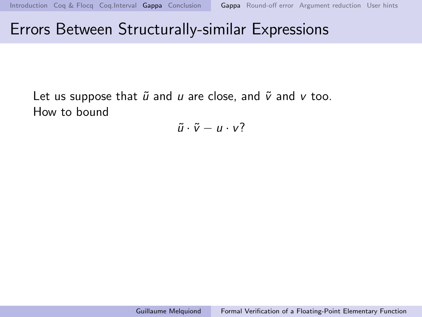## Errors Between Structurally-similar Expressions

Let us suppose that  $\tilde{u}$  and  $u$  are close, and  $\tilde{v}$  and  $v$  too. How to bound

 $\tilde{u} \cdot \tilde{v} - u \cdot v$ ?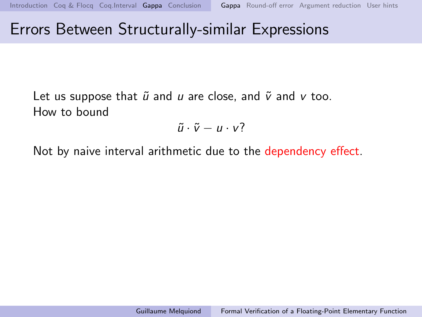## Errors Between Structurally-similar Expressions

Let us suppose that  $\tilde{u}$  and u are close, and  $\tilde{v}$  and v too. How to bound

 $\tilde{u} \cdot \tilde{v} - u \cdot v$ ?

Not by naive interval arithmetic due to the dependency effect.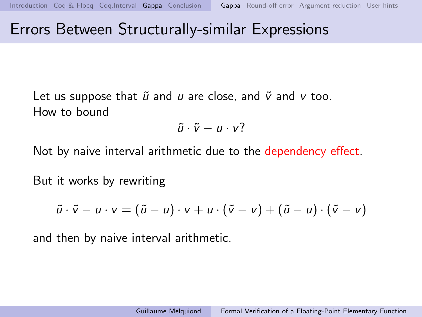## Errors Between Structurally-similar Expressions

Let us suppose that  $\tilde{u}$  and u are close, and  $\tilde{v}$  and v too. How to bound

$$
\tilde{u}\cdot\tilde{v}-u\cdot v?
$$

Not by naive interval arithmetic due to the dependency effect.

But it works by rewriting

$$
\tilde{u}\cdot\tilde{v}-u\cdot v=(\tilde{u}-u)\cdot v+u\cdot(\tilde{v}-v)+(\tilde{u}-u)\cdot(\tilde{v}-v)
$$

and then by naive interval arithmetic.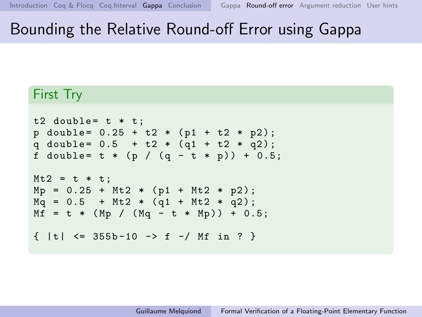# <span id="page-43-0"></span>Bounding the Relative Round-off Error using Gappa

#### First Try

```
t2 double= t * t;
p double= 0.25 + t2 * (p1 + t2 * p2);q double= 0.5 + t2 * (q1 + t2 * q2);
f double= t * (p / (q - t * p)) + 0.5;
Mt2 = t * t;Mp = 0.25 + Mt2 * (p1 + Mt2 * p2);Mq = 0.5 + Mt2 * (q1 + Mt2 * q2);Mf = t * (Mp / (Mq - t * Mp)) + 0.5;\{ |t| \leq 355b - 10 \rightarrow f - / Mf \text{ in ? } \}
```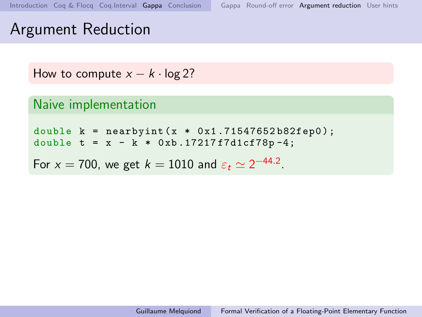## <span id="page-44-0"></span>Argument Reduction

```
How to compute x - k \cdot \log 2?
```

```
Naive implementation
```

```
double k = nearbyint (x * 0x1.71547652b82fep0);
double t = x - k * 0xb.17217f7d1cf78p-4;
```
For  $x = 700$ , we get  $k = 1010$  and  $\varepsilon_t \simeq 2^{-44.2}$ .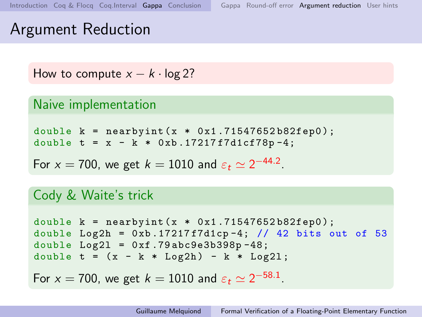## <span id="page-45-0"></span>Argument Reduction

```
How to compute x - k \cdot \log 2?
```

```
Naive implementation
```

```
double k = nearbyint (x * 0x1.71547652b82fep0);
double t = x - k * 0xb.17217f7d1cf78p-4;
```
For  $x = 700$ , we get  $k = 1010$  and  $\varepsilon_t \simeq 2^{-44.2}$ .

### Cody & Waite's trick

```
double k = nearbyint (x * 0x1.71547652b82fep0);
double Log2h = 0xb.17217f7d1cp-4; // 42 bits out of 53
double Log21 = 0xf .79abc9e3b398p -48;double t = (x - k * Log2h) - k * Log21:
For x = 700, we get k = 1010 and \varepsilon_t \simeq 2^{-58.1}.
```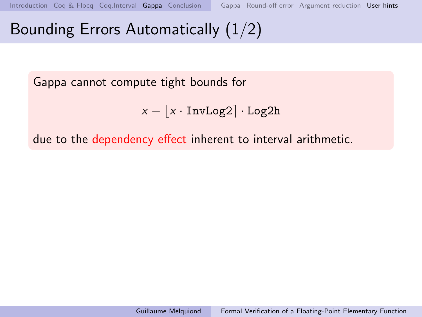# <span id="page-46-0"></span>Bounding Errors Automatically (1/2)

Gappa cannot compute tight bounds for

$$
x - \lfloor x \cdot \text{InvLog2} \rceil \cdot \text{Log2h}
$$

due to the dependency effect inherent to interval arithmetic.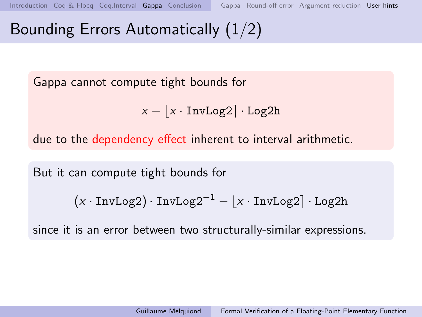# Bounding Errors Automatically (1/2)

Gappa cannot compute tight bounds for

$$
x - \lfloor x \cdot \text{InvLog2} \rfloor \cdot \text{Log2h}
$$

due to the dependency effect inherent to interval arithmetic.

But it can compute tight bounds for

$$
(x \cdot InvLog2) \cdot InvLog2^{-1} - \lfloor x \cdot InvLog2 \rceil \cdot Log2h
$$

since it is an error between two structurally-similar expressions.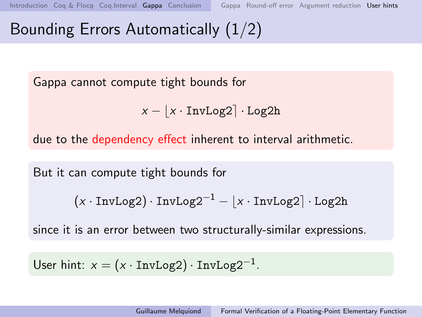# <span id="page-48-0"></span>Bounding Errors Automatically (1/2)

Gappa cannot compute tight bounds for

$$
x - \lfloor x \cdot \text{InvLog2} \rceil \cdot \text{Log2h}
$$

due to the dependency effect inherent to interval arithmetic.

But it can compute tight bounds for

$$
(x \cdot InvLog2) \cdot InvLog2^{-1} - \lfloor x \cdot InvLog2 \rceil \cdot Log2h
$$

since it is an error between two structurally-similar expressions.

User hint:  $x = (x \cdot InvLog2) \cdot InvLog2^{-1}$ .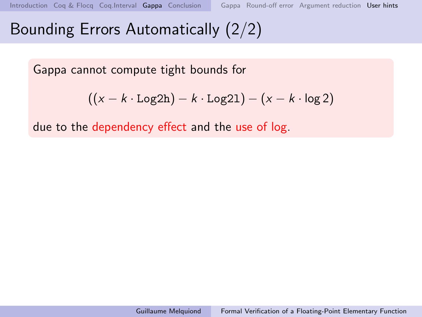# Bounding Errors Automatically (2/2)

Gappa cannot compute tight bounds for

$$
((x-k\cdot \texttt{Log2h})-k\cdot \texttt{Log2l})-(x-k\cdot \log 2)
$$

due to the dependency effect and the use of log.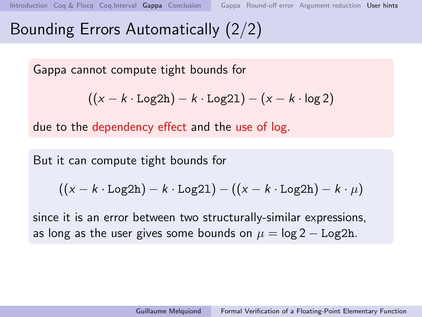# Bounding Errors Automatically (2/2)

Gappa cannot compute tight bounds for

$$
((x-k\cdot \texttt{Log2h})-k\cdot \texttt{Log2l})-(x-k\cdot \log 2)
$$

due to the dependency effect and the use of log.

But it can compute tight bounds for

$$
((x-k\cdot \texttt{Log2h})-k\cdot \texttt{Log21})-((x-k\cdot \texttt{Log2h})-k\cdot \mu)
$$

since it is an error between two structurally-similar expressions, as long as the user gives some bounds on  $\mu = \log 2 - \text{Log}2h$ .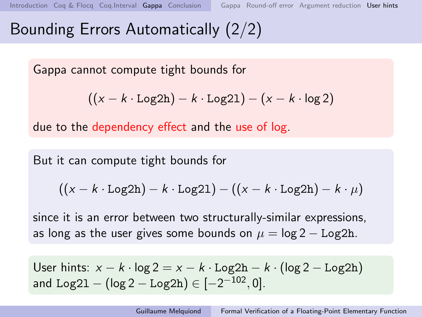# Bounding Errors Automatically (2/2)

Gappa cannot compute tight bounds for

$$
((x-k\cdot \texttt{Log2h})-k\cdot \texttt{Log2l})-(x-k\cdot \log 2)
$$

due to the dependency effect and the use of log.

But it can compute tight bounds for

$$
((x - k \cdot Log2h) - k \cdot Log21) - ((x - k \cdot Log2h) - k \cdot \mu)
$$

since it is an error between two structurally-similar expressions, as long as the user gives some bounds on  $\mu = \log 2 - \text{Log}2h$ .

User hints:  $x - k \cdot \log 2 = x - k \cdot \text{Log}2h - k \cdot (\log 2 - \text{Log}2h)$ and Log2 $1 - (\log 2 - \text{Log}2\text{h}) \in [-2^{-102},0]$ .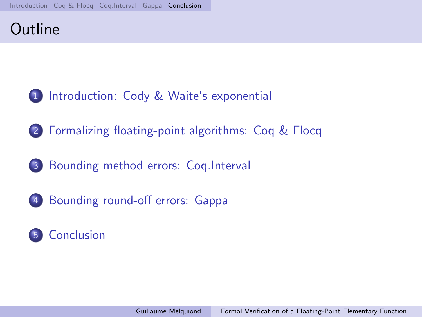## <span id="page-52-0"></span>**Outline**

- [Introduction: Cody & Waite's exponential](#page-1-0)
- [Formalizing floating-point algorithms: Coq & Flocq](#page-22-0)
- [Bounding method errors: Coq.Interval](#page-29-0)
- [Bounding round-off errors: Gappa](#page-35-0)

## [Conclusion](#page-52-0)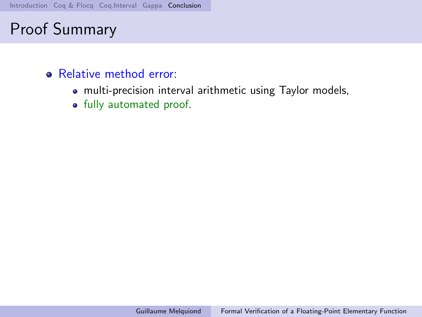- Relative method error:
	- multi-precision interval arithmetic using Taylor models,
	- fully automated proof.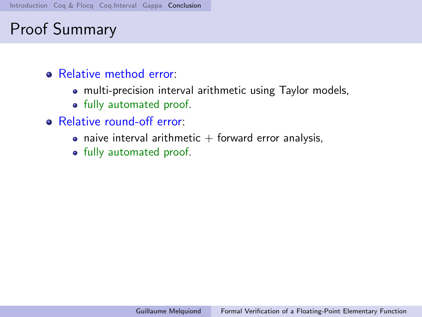- **Relative method error:** 
	- multi-precision interval arithmetic using Taylor models,
	- fully automated proof.
- Relative round-off error:
	- naive interval arithmetic  $+$  forward error analysis,
	- fully automated proof.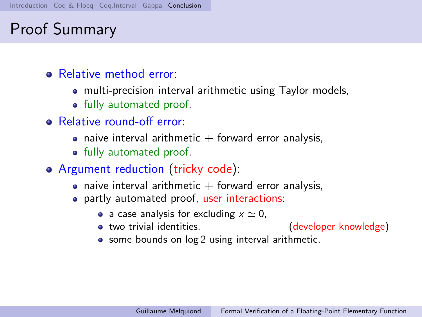- **Relative method error:** 
	- multi-precision interval arithmetic using Taylor models,
	- fully automated proof.
- Relative round-off error:
	- naive interval arithmetic  $+$  forward error analysis,
	- fully automated proof.
- Argument reduction (tricky code):
	- naive interval arithmetic  $+$  forward error analysis,
	- partly automated proof, user interactions:
		- a case analysis for excluding  $x \simeq 0$ ,
		- two trivial identities,  $\qquad \qquad$  (developer knowledge)
- - some bounds on  $log 2$  using interval arithmetic.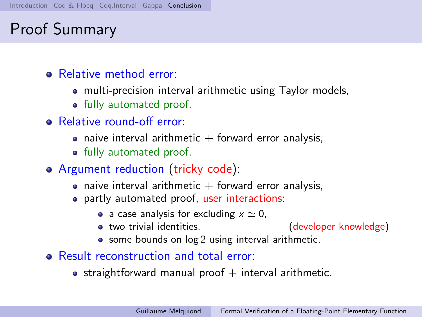- **Relative method error:** 
	- multi-precision interval arithmetic using Taylor models,
	- fully automated proof.
- Relative round-off error:
	- naive interval arithmetic  $+$  forward error analysis,
	- fully automated proof.
- Argument reduction (tricky code):
	- naive interval arithmetic  $+$  forward error analysis,
	- partly automated proof, user interactions:
		- a case analysis for excluding  $x \simeq 0$ ,
		- two trivial identities,  $\qquad \qquad$  (developer knowledge)
- - some bounds on  $log 2$  using interval arithmetic.
- Result reconstruction and total error:
	- straightforward manual proof  $+$  interval arithmetic.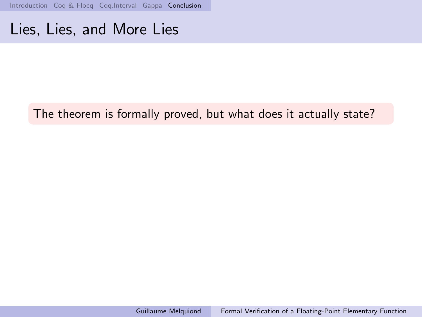[Introduction](#page-1-0) [Coq & Flocq](#page-22-0) [Coq.Interval](#page-29-0) [Gappa](#page-35-0) [Conclusion](#page-52-0)

## Lies, Lies, and More Lies

### The theorem is formally proved, but what does it actually state?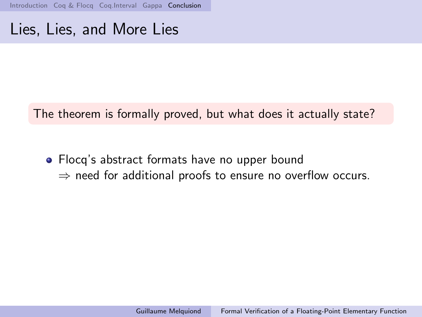[Introduction](#page-1-0) Cog & Flocg Cog.Interval [Gappa](#page-35-0) [Conclusion](#page-52-0)

## Lies, Lies, and More Lies

The theorem is formally proved, but what does it actually state?

• Flocq's abstract formats have no upper bound  $\Rightarrow$  need for additional proofs to ensure no overflow occurs.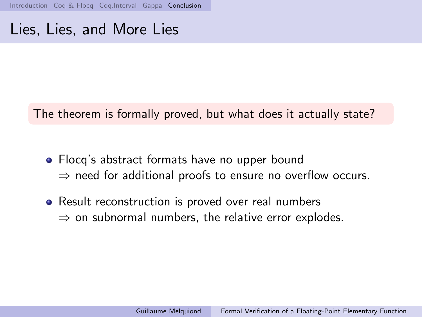[Introduction](#page-1-0) Cog & Flocg Cog.Interval [Gappa](#page-35-0) [Conclusion](#page-52-0)

## Lies, Lies, and More Lies

The theorem is formally proved, but what does it actually state?

- Flocq's abstract formats have no upper bound ⇒ need for additional proofs to ensure no overflow occurs.
- Result reconstruction is proved over real numbers  $\Rightarrow$  on subnormal numbers, the relative error explodes.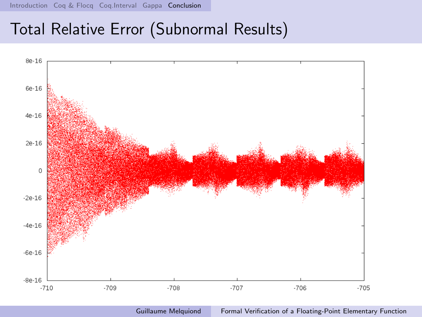[Introduction](#page-1-0) [Coq & Flocq](#page-22-0) [Coq.Interval](#page-29-0) [Gappa](#page-35-0) [Conclusion](#page-52-0)

## Total Relative Error (Subnormal Results)



Guillaume Melquiond [Formal Verification of a Floating-Point Elementary Function](#page-0-0)